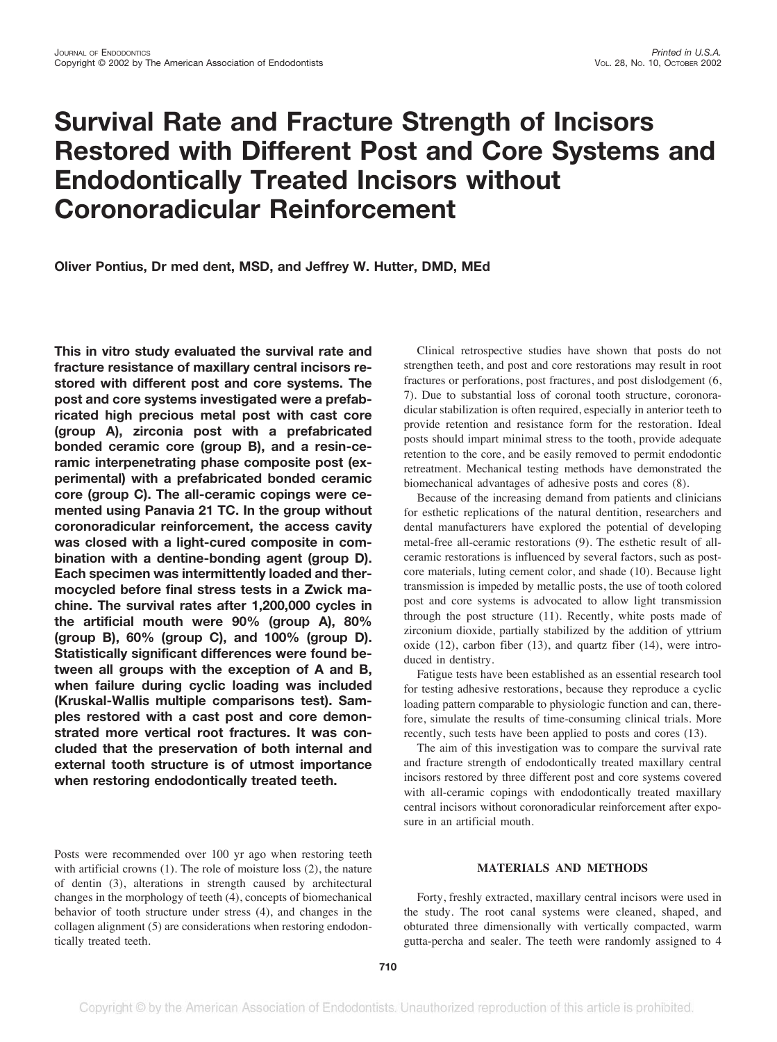# **Survival Rate and Fracture Strength of Incisors Restored with Different Post and Core Systems and Endodontically Treated Incisors without Coronoradicular Reinforcement**

**Oliver Pontius, Dr med dent, MSD, and Jeffrey W. Hutter, DMD, MEd**

**This in vitro study evaluated the survival rate and fracture resistance of maxillary central incisors restored with different post and core systems. The post and core systems investigated were a prefabricated high precious metal post with cast core (group A), zirconia post with a prefabricated bonded ceramic core (group B), and a resin-ceramic interpenetrating phase composite post (experimental) with a prefabricated bonded ceramic core (group C). The all-ceramic copings were cemented using Panavia 21 TC. In the group without coronoradicular reinforcement, the access cavity was closed with a light-cured composite in combination with a dentine-bonding agent (group D). Each specimen was intermittently loaded and thermocycled before final stress tests in a Zwick machine. The survival rates after 1,200,000 cycles in the artificial mouth were 90% (group A), 80% (group B), 60% (group C), and 100% (group D). Statistically significant differences were found between all groups with the exception of A and B, when failure during cyclic loading was included (Kruskal-Wallis multiple comparisons test). Samples restored with a cast post and core demonstrated more vertical root fractures. It was concluded that the preservation of both internal and external tooth structure is of utmost importance when restoring endodontically treated teeth.**

Posts were recommended over 100 yr ago when restoring teeth with artificial crowns (1). The role of moisture loss (2), the nature of dentin (3), alterations in strength caused by architectural changes in the morphology of teeth (4), concepts of biomechanical behavior of tooth structure under stress (4), and changes in the collagen alignment (5) are considerations when restoring endodontically treated teeth.

Clinical retrospective studies have shown that posts do not strengthen teeth, and post and core restorations may result in root fractures or perforations, post fractures, and post dislodgement (6, 7). Due to substantial loss of coronal tooth structure, coronoradicular stabilization is often required, especially in anterior teeth to provide retention and resistance form for the restoration. Ideal posts should impart minimal stress to the tooth, provide adequate retention to the core, and be easily removed to permit endodontic retreatment. Mechanical testing methods have demonstrated the biomechanical advantages of adhesive posts and cores (8).

Because of the increasing demand from patients and clinicians for esthetic replications of the natural dentition, researchers and dental manufacturers have explored the potential of developing metal-free all-ceramic restorations (9). The esthetic result of allceramic restorations is influenced by several factors, such as postcore materials, luting cement color, and shade (10). Because light transmission is impeded by metallic posts, the use of tooth colored post and core systems is advocated to allow light transmission through the post structure (11). Recently, white posts made of zirconium dioxide, partially stabilized by the addition of yttrium oxide (12), carbon fiber (13), and quartz fiber (14), were introduced in dentistry.

Fatigue tests have been established as an essential research tool for testing adhesive restorations, because they reproduce a cyclic loading pattern comparable to physiologic function and can, therefore, simulate the results of time-consuming clinical trials. More recently, such tests have been applied to posts and cores (13).

The aim of this investigation was to compare the survival rate and fracture strength of endodontically treated maxillary central incisors restored by three different post and core systems covered with all-ceramic copings with endodontically treated maxillary central incisors without coronoradicular reinforcement after exposure in an artificial mouth.

## **MATERIALS AND METHODS**

Forty, freshly extracted, maxillary central incisors were used in the study. The root canal systems were cleaned, shaped, and obturated three dimensionally with vertically compacted, warm gutta-percha and sealer. The teeth were randomly assigned to 4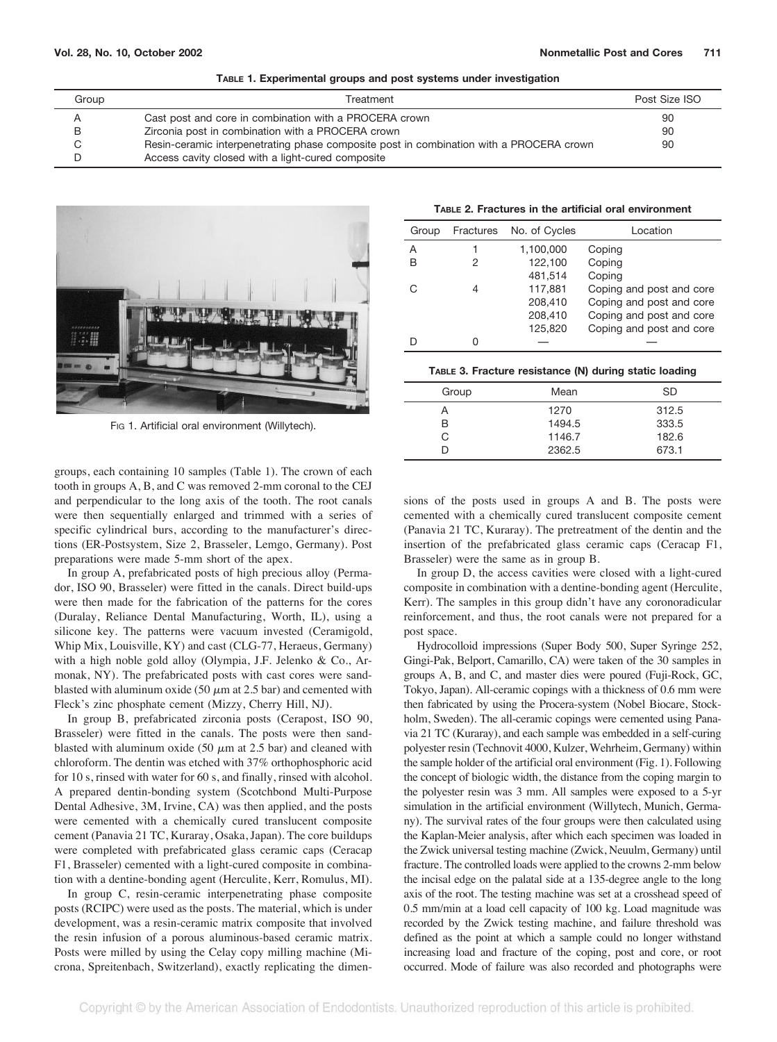| Group | Treatment                                                                               | Post Size ISO |
|-------|-----------------------------------------------------------------------------------------|---------------|
|       | Cast post and core in combination with a PROCERA crown                                  | 90            |
|       | Zirconia post in combination with a PROCERA crown                                       | 90            |
|       | Resin-ceramic interpenetrating phase composite post in combination with a PROCERA crown | 90            |
|       | Access cavity closed with a light-cured composite                                       |               |



Fig 1. Artificial oral environment (Willytech).

groups, each containing 10 samples (Table 1). The crown of each tooth in groups A, B, and C was removed 2-mm coronal to the CEJ and perpendicular to the long axis of the tooth. The root canals were then sequentially enlarged and trimmed with a series of specific cylindrical burs, according to the manufacturer's directions (ER-Postsystem, Size 2, Brasseler, Lemgo, Germany). Post preparations were made 5-mm short of the apex.

In group A, prefabricated posts of high precious alloy (Permador, ISO 90, Brasseler) were fitted in the canals. Direct build-ups were then made for the fabrication of the patterns for the cores (Duralay, Reliance Dental Manufacturing, Worth, IL), using a silicone key. The patterns were vacuum invested (Ceramigold, Whip Mix, Louisville, KY) and cast (CLG-77, Heraeus, Germany) with a high noble gold alloy (Olympia, J.F. Jelenko & Co., Armonak, NY). The prefabricated posts with cast cores were sandblasted with aluminum oxide (50  $\mu$ m at 2.5 bar) and cemented with Fleck's zinc phosphate cement (Mizzy, Cherry Hill, NJ).

In group B, prefabricated zirconia posts (Cerapost, ISO 90, Brasseler) were fitted in the canals. The posts were then sandblasted with aluminum oxide (50  $\mu$ m at 2.5 bar) and cleaned with chloroform. The dentin was etched with 37% orthophosphoric acid for 10 s, rinsed with water for 60 s, and finally, rinsed with alcohol. A prepared dentin-bonding system (Scotchbond Multi-Purpose Dental Adhesive, 3M, Irvine, CA) was then applied, and the posts were cemented with a chemically cured translucent composite cement (Panavia 21 TC, Kuraray, Osaka, Japan). The core buildups were completed with prefabricated glass ceramic caps (Ceracap F1, Brasseler) cemented with a light-cured composite in combination with a dentine-bonding agent (Herculite, Kerr, Romulus, MI).

In group C, resin-ceramic interpenetrating phase composite posts (RCIPC) were used as the posts. The material, which is under development, was a resin-ceramic matrix composite that involved the resin infusion of a porous aluminous-based ceramic matrix. Posts were milled by using the Celay copy milling machine (Microna, Spreitenbach, Switzerland), exactly replicating the dimen-

| TABLE 2. Fractures in the artificial oral environment |  |
|-------------------------------------------------------|--|
|-------------------------------------------------------|--|

| Group |   | Fractures No. of Cycles | Location                 |
|-------|---|-------------------------|--------------------------|
| A     | 1 | 1,100,000               | Coping                   |
| B     | 2 | 122,100                 | Coping                   |
|       |   | 481,514                 | Coping                   |
| C     | 4 | 117,881                 | Coping and post and core |
|       |   | 208,410                 | Coping and post and core |
|       |   | 208,410                 | Coping and post and core |
|       |   | 125,820                 | Coping and post and core |
|       |   |                         |                          |

**TABLE 3. Fracture resistance (N) during static loading**

| Group | Mean   | <b>SD</b> |
|-------|--------|-----------|
|       | 1270   | 312.5     |
| B     | 1494.5 | 333.5     |
| C.    | 1146.7 | 182.6     |
|       | 2362.5 | 673.1     |

sions of the posts used in groups A and B. The posts were cemented with a chemically cured translucent composite cement (Panavia 21 TC, Kuraray). The pretreatment of the dentin and the insertion of the prefabricated glass ceramic caps (Ceracap F1, Brasseler) were the same as in group B.

In group D, the access cavities were closed with a light-cured composite in combination with a dentine-bonding agent (Herculite, Kerr). The samples in this group didn't have any coronoradicular reinforcement, and thus, the root canals were not prepared for a post space.

Hydrocolloid impressions (Super Body 500, Super Syringe 252, Gingi-Pak, Belport, Camarillo, CA) were taken of the 30 samples in groups A, B, and C, and master dies were poured (Fuji-Rock, GC, Tokyo, Japan). All-ceramic copings with a thickness of 0.6 mm were then fabricated by using the Procera-system (Nobel Biocare, Stockholm, Sweden). The all-ceramic copings were cemented using Panavia 21 TC (Kuraray), and each sample was embedded in a self-curing polyester resin (Technovit 4000, Kulzer, Wehrheim, Germany) within the sample holder of the artificial oral environment (Fig. 1). Following the concept of biologic width, the distance from the coping margin to the polyester resin was 3 mm. All samples were exposed to a 5-yr simulation in the artificial environment (Willytech, Munich, Germany). The survival rates of the four groups were then calculated using the Kaplan-Meier analysis, after which each specimen was loaded in the Zwick universal testing machine (Zwick, Neuulm, Germany) until fracture. The controlled loads were applied to the crowns 2-mm below the incisal edge on the palatal side at a 135-degree angle to the long axis of the root. The testing machine was set at a crosshead speed of 0.5 mm/min at a load cell capacity of 100 kg. Load magnitude was recorded by the Zwick testing machine, and failure threshold was defined as the point at which a sample could no longer withstand increasing load and fracture of the coping, post and core, or root occurred. Mode of failure was also recorded and photographs were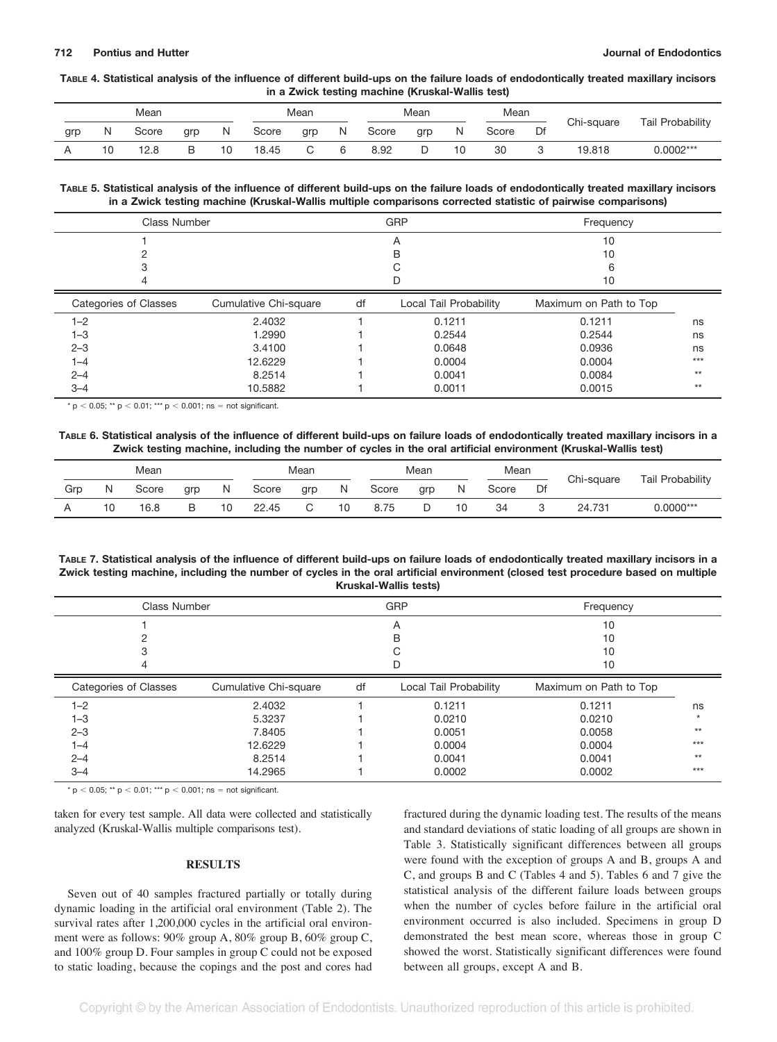#### **TABLE 4. Statistical analysis of the influence of different build-ups on the failure loads of endodontically treated maxillary incisors in a Zwick testing machine (Kruskal-Wallis test)**

| Mean |    |       |        | Mean |       |     | Mean |       |     | Mean |       |    |            |                         |
|------|----|-------|--------|------|-------|-----|------|-------|-----|------|-------|----|------------|-------------------------|
| grp  | N  | Score | grp    | N    | Score | grp | Ν    | Score | grp | Ν    | Score | Df | Chi-square | <b>Tail Probability</b> |
|      | 10 | 12.8  | R<br>ີ | 10   | 18.45 |     | 6    | 8.92  |     |      | 30    | J  | 19,818     | $0.0002***$             |

**TABLE 5. Statistical analysis of the influence of different build-ups on the failure loads of endodontically treated maxillary incisors in a Zwick testing machine (Kruskal-Wallis multiple comparisons corrected statistic of pairwise comparisons)**

| Class Number          |                       |    | GRP                    | Frequency              |       |  |
|-----------------------|-----------------------|----|------------------------|------------------------|-------|--|
|                       |                       |    | A                      | 10                     |       |  |
|                       |                       |    | в                      | 10                     |       |  |
|                       |                       |    |                        | 6                      |       |  |
|                       |                       |    | D                      | 10                     |       |  |
| Categories of Classes | Cumulative Chi-square | df | Local Tail Probability | Maximum on Path to Top |       |  |
| $1 - 2$               | 2.4032                |    | 0.1211                 | 0.1211                 | ns    |  |
| $1 - 3$               | 1.2990                |    | 0.2544                 | 0.2544                 | ns    |  |
| $2 - 3$               | 3.4100                |    | 0.0648                 | 0.0936                 | ns    |  |
| $1 - 4$               | 12.6229               |    | 0.0004                 | 0.0004                 | $***$ |  |
| $2 - 4$               | 8.2514                |    | 0.0041                 | 0.0084                 | $**$  |  |
| $3 - 4$               | 10.5882               |    | 0.0011                 | 0.0015                 | $**$  |  |

\*  $p < 0.05$ ; \*\*  $p < 0.01$ ; \*\*\*  $p < 0.001$ ; ns = not significant.

#### **TABLE 6. Statistical analysis of the influence of different build-ups on failure loads of endodontically treated maxillary incisors in a Zwick testing machine, including the number of cycles in the oral artificial environment (Kruskal-Wallis test)**

| Mean |    |       |     | Mean |       |     |    | Mear<br>Mean |     |   |       |    |            |                  |
|------|----|-------|-----|------|-------|-----|----|--------------|-----|---|-------|----|------------|------------------|
| Grp  |    | Score | grp | N    | Score | grp | N  | Score        | grp | N | Score | Df | Chi-square | Tail Probability |
|      | 10 | 16.8  |     | 10   | 22.45 | ັ   | 10 | 8.75         |     |   | 34    |    | 24.731     | $0.0000***$      |

**TABLE 7. Statistical analysis of the influence of different build-ups on failure loads of endodontically treated maxillary incisors in a Zwick testing machine, including the number of cycles in the oral artificial environment (closed test procedure based on multiple Kruskal-Wallis tests)**

| <b>Class Number</b>          |                       |    | GRP                    | Frequency              |         |  |
|------------------------------|-----------------------|----|------------------------|------------------------|---------|--|
|                              |                       |    | A                      | 10                     |         |  |
|                              |                       |    | B                      | 10                     |         |  |
|                              |                       |    | С                      | 10                     |         |  |
|                              |                       |    |                        | 10                     |         |  |
| <b>Categories of Classes</b> | Cumulative Chi-square | df | Local Tail Probability | Maximum on Path to Top |         |  |
| $1 - 2$                      | 2.4032                |    | 0.1211                 | 0.1211                 | ns      |  |
| $1 - 3$                      | 5.3237                |    | 0.0210                 | 0.0210                 | $\star$ |  |
| $2 - 3$                      | 7.8405                |    | 0.0051                 | 0.0058                 | $**$    |  |
| 1–4                          | 12.6229               |    | 0.0004                 | 0.0004                 | $***$   |  |
| $2 - 4$                      | 8.2514                |    | 0.0041                 | 0.0041                 | $**$    |  |
| $3 - 4$                      | 14.2965               |    | 0.0002                 | 0.0002                 | $***$   |  |

\*  $p < 0.05$ ; \*\*  $p < 0.01$ ; \*\*\*  $p < 0.001$ ; ns = not significant.

taken for every test sample. All data were collected and statistically analyzed (Kruskal-Wallis multiple comparisons test).

#### **RESULTS**

Seven out of 40 samples fractured partially or totally during dynamic loading in the artificial oral environment (Table 2). The survival rates after 1,200,000 cycles in the artificial oral environment were as follows: 90% group A, 80% group B, 60% group C, and 100% group D. Four samples in group C could not be exposed to static loading, because the copings and the post and cores had

fractured during the dynamic loading test. The results of the means and standard deviations of static loading of all groups are shown in Table 3. Statistically significant differences between all groups were found with the exception of groups A and B, groups A and C, and groups B and C (Tables 4 and 5). Tables 6 and 7 give the statistical analysis of the different failure loads between groups when the number of cycles before failure in the artificial oral environment occurred is also included. Specimens in group D demonstrated the best mean score, whereas those in group C showed the worst. Statistically significant differences were found between all groups, except A and B.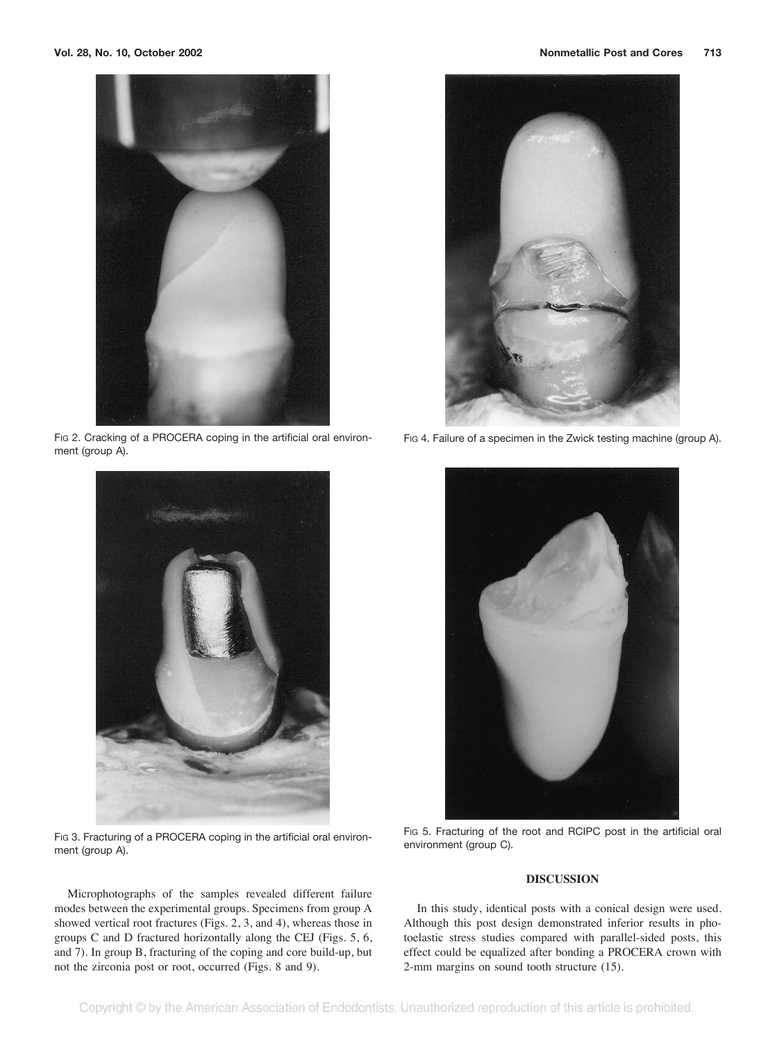

FIG 2. Cracking of a PROCERA coping in the artificial oral environment (group A).



FIG 3. Fracturing of a PROCERA coping in the artificial oral environment (group A).



FIG 4. Failure of a specimen in the Zwick testing machine (group A).



FIG 5. Fracturing of the root and RCIPC post in the artificial oral environment (group C).

### **DISCUSSION**

In this study, identical posts with a conical design were used. Although this post design demonstrated inferior results in photoelastic stress studies compared with parallel-sided posts, this effect could be equalized after bonding a PROCERA crown with 2-mm margins on sound tooth structure (15).

Microphotographs of the samples revealed different failure modes between the experimental groups. Specimens from group A showed vertical root fractures (Figs. 2, 3, and 4), whereas those in groups C and D fractured horizontally along the CEJ (Figs. 5, 6, and 7). In group B, fracturing of the coping and core build-up, but not the zirconia post or root, occurred (Figs. 8 and 9).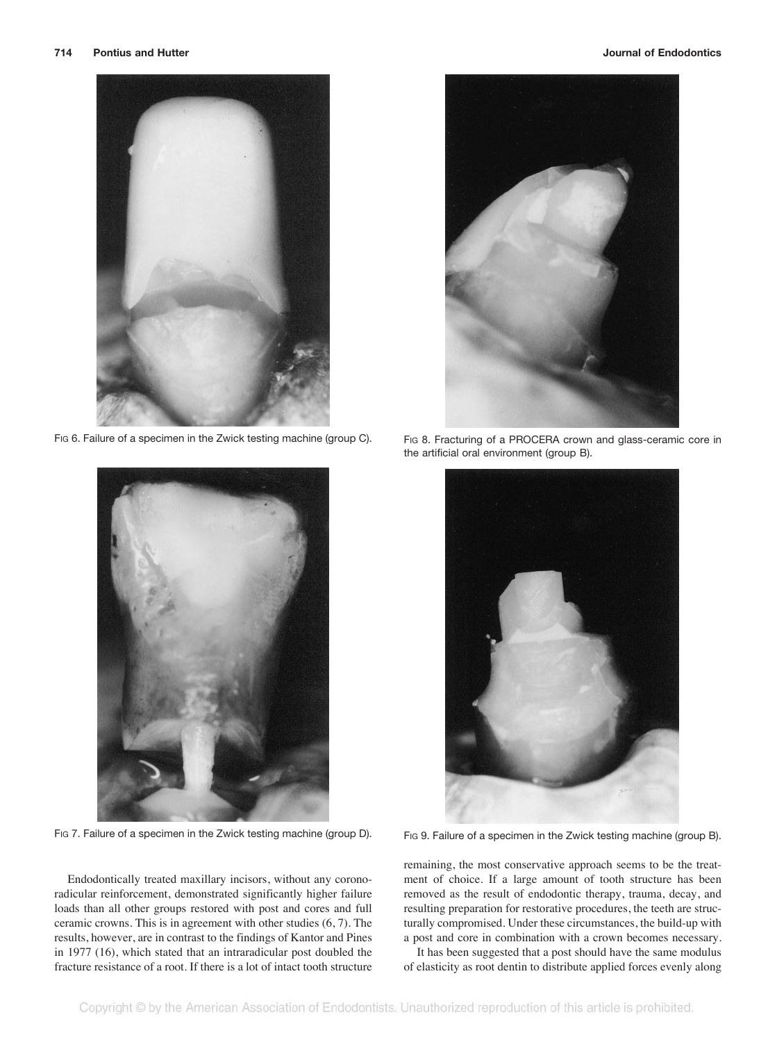

FIG 6. Failure of a specimen in the Zwick testing machine (group C).



FIG 7. Failure of a specimen in the Zwick testing machine (group D).

Endodontically treated maxillary incisors, without any coronoradicular reinforcement, demonstrated significantly higher failure loads than all other groups restored with post and cores and full ceramic crowns. This is in agreement with other studies (6, 7). The results, however, are in contrast to the findings of Kantor and Pines in 1977 (16), which stated that an intraradicular post doubled the fracture resistance of a root. If there is a lot of intact tooth structure



FIG 8. Fracturing of a PROCERA crown and glass-ceramic core in the artificial oral environment (group B).



FIG 9. Failure of a specimen in the Zwick testing machine (group B).

remaining, the most conservative approach seems to be the treatment of choice. If a large amount of tooth structure has been removed as the result of endodontic therapy, trauma, decay, and resulting preparation for restorative procedures, the teeth are structurally compromised. Under these circumstances, the build-up with a post and core in combination with a crown becomes necessary.

It has been suggested that a post should have the same modulus of elasticity as root dentin to distribute applied forces evenly along